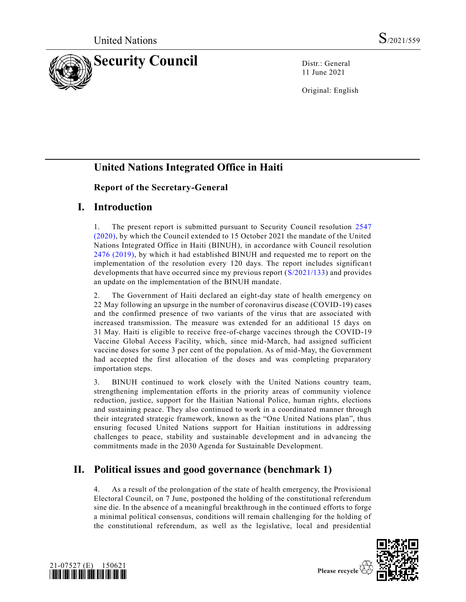

11 June 2021

Original: English

## **United Nations Integrated Office in Haiti**

#### **Report of the Secretary-General**

## **I. Introduction**

1. The present report is submitted pursuant to Security Council resolution [2547](https://undocs.org/en/S/RES/2547(2020))  [\(2020\),](https://undocs.org/en/S/RES/2547(2020)) by which the Council extended to 15 October 2021 the mandate of the United Nations Integrated Office in Haiti (BINUH), in accordance with Council resolution [2476 \(2019\),](https://undocs.org/en/S/RES/2476(2019)) by which it had established BINUH and requested me to report on the implementation of the resolution every 120 days. The report includes significant developments that have occurred since my previous report [\(S/2021/133\)](https://undocs.org/en/S/2021/133) and provides an update on the implementation of the BINUH mandate.

2. The Government of Haiti declared an eight-day state of health emergency on 22 May following an upsurge in the number of coronavirus disease (COVID-19) cases and the confirmed presence of two variants of the virus that are associated with increased transmission. The measure was extended for an additional 15 days on 31 May. Haiti is eligible to receive free-of-charge vaccines through the COVID-19 Vaccine Global Access Facility, which, since mid-March, had assigned sufficient vaccine doses for some 3 per cent of the population. As of mid-May, the Government had accepted the first allocation of the doses and was completing preparatory importation steps.

3. BINUH continued to work closely with the United Nations country team, strengthening implementation efforts in the priority areas of community violence reduction, justice, support for the Haitian National Police, human rights, elections and sustaining peace. They also continued to work in a coordinated manner through their integrated strategic framework, known as the "One United Nations plan", thus ensuring focused United Nations support for Haitian institutions in addressing challenges to peace, stability and sustainable development and in advancing the commitments made in the 2030 Agenda for Sustainable Development.

# **II. Political issues and good governance (benchmark 1)**

4. As a result of the prolongation of the state of health emergency, the Provisional Electoral Council, on 7 June, postponed the holding of the constitutional referendum sine die. In the absence of a meaningful breakthrough in the continued efforts to forge a minimal political consensus, conditions will remain challenging for the holding of the constitutional referendum, as well as the legislative, local and presidential



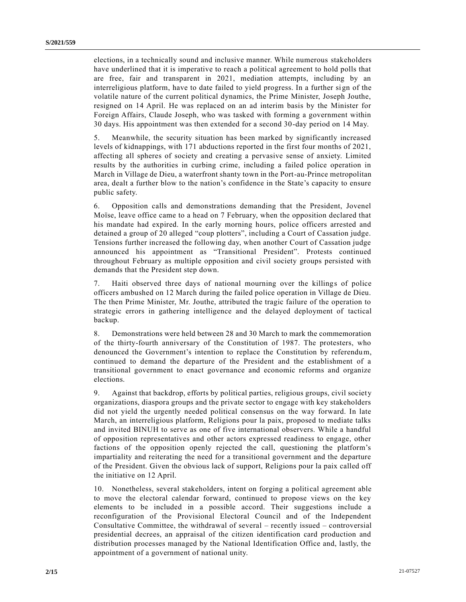elections, in a technically sound and inclusive manner. While numerous stakeholders have underlined that it is imperative to reach a political agreement to hold polls that are free, fair and transparent in 2021, mediation attempts, including by an interreligious platform, have to date failed to yield progress. In a further sign of the volatile nature of the current political dynamics, the Prime Minister, Joseph Jouthe, resigned on 14 April. He was replaced on an ad interim basis by the Minister for Foreign Affairs, Claude Joseph, who was tasked with forming a government within 30 days. His appointment was then extended for a second 30-day period on 14 May.

5. Meanwhile, the security situation has been marked by significantly increased levels of kidnappings, with 171 abductions reported in the first four months of 2021, affecting all spheres of society and creating a pervasive sense of anxiety. Limited results by the authorities in curbing crime, including a failed police operation in March in Village de Dieu, a waterfront shanty town in the Port-au-Prince metropolitan area, dealt a further blow to the nation's confidence in the State's capacity to ensure public safety.

6. Opposition calls and demonstrations demanding that the President, Jovenel Moïse, leave office came to a head on 7 February, when the opposition declared that his mandate had expired. In the early morning hours, police officers arrested and detained a group of 20 alleged "coup plotters", including a Court of Cassation judge. Tensions further increased the following day, when another Court of Cassation judge announced his appointment as "Transitional President". Protests continued throughout February as multiple opposition and civil society groups persisted with demands that the President step down.

7. Haiti observed three days of national mourning over the killings of police officers ambushed on 12 March during the failed police operation in Village de Dieu. The then Prime Minister, Mr. Jouthe, attributed the tragic failure of the operation to strategic errors in gathering intelligence and the delayed deployment of tactical backup.

8. Demonstrations were held between 28 and 30 March to mark the commemoration of the thirty-fourth anniversary of the Constitution of 1987. The protesters, who denounced the Government's intention to replace the Constitution by referendum, continued to demand the departure of the President and the establishment of a transitional government to enact governance and economic reforms and organize elections.

9. Against that backdrop, efforts by political parties, religious groups, civil society organizations, diaspora groups and the private sector to engage with key stakeholders did not yield the urgently needed political consensus on the way forward. In late March, an interreligious platform, Religions pour la paix, proposed to mediate talks and invited BINUH to serve as one of five international observers. While a handful of opposition representatives and other actors expressed readiness to engage, other factions of the opposition openly rejected the call, questioning the platform's impartiality and reiterating the need for a transitional government and the departure of the President. Given the obvious lack of support, Religions pour la paix called off the initiative on 12 April.

10. Nonetheless, several stakeholders, intent on forging a political agreement able to move the electoral calendar forward, continued to propose views on the key elements to be included in a possible accord. Their suggestions include a reconfiguration of the Provisional Electoral Council and of the Independent Consultative Committee, the withdrawal of several – recently issued – controversial presidential decrees, an appraisal of the citizen identification card production and distribution processes managed by the National Identification Office and, lastly, the appointment of a government of national unity.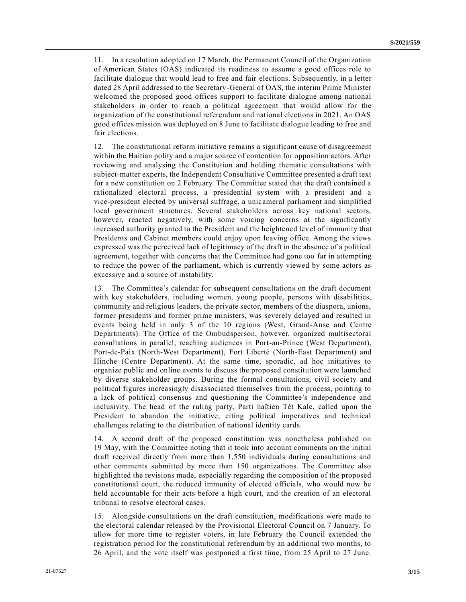11. In a resolution adopted on 17 March, the Permanent Council of the Organization of American States (OAS) indicated its readiness to assume a good offices role to facilitate dialogue that would lead to free and fair elections. Subsequently, in a letter dated 28 April addressed to the Secretary-General of OAS, the interim Prime Minister welcomed the proposed good offices support to facilitate dialogue among national stakeholders in order to reach a political agreement that would allow for the organization of the constitutional referendum and national elections in 2021. An OAS good offices mission was deployed on 8 June to facilitate dialogue leading to free and fair elections.

12. The constitutional reform initiative remains a significant cause of disagreement within the Haitian polity and a major source of contention for opposition actors. After reviewing and analysing the Constitution and holding thematic consultations with subject-matter experts, the Independent Consultative Committee presented a draft text for a new constitution on 2 February. The Committee stated that the draft contained a rationalized electoral process, a presidential system with a president and a vice-president elected by universal suffrage, a unicameral parliament and simplified local government structures. Several stakeholders across key national sectors, however, reacted negatively, with some voicing concerns at the significantly increased authority granted to the President and the heightened level of immunity that Presidents and Cabinet members could enjoy upon leaving office. Among the views expressed was the perceived lack of legitimacy of the draft in the absence of a political agreement, together with concerns that the Committee had gone too far in attempting to reduce the power of the parliament, which is currently viewed by some actors as excessive and a source of instability.

13. The Committee's calendar for subsequent consultations on the draft document with key stakeholders, including women, young people, persons with disabilities, community and religious leaders, the private sector, members of the diaspora, unions, former presidents and former prime ministers, was severely delayed and resulted in events being held in only 3 of the 10 regions (West, Grand-Anse and Centre Departments). The Office of the Ombudsperson, however, organized multisectoral consultations in parallel, reaching audiences in Port-au-Prince (West Department), Port-de-Paix (North-West Department), Fort Liberté (North-East Department) and Hinche (Centre Department). At the same time, sporadic, ad hoc initiatives to organize public and online events to discuss the proposed constitution were launched by diverse stakeholder groups. During the formal consultations, civil society and political figures increasingly disassociated themselves from the process, pointing to a lack of political consensus and questioning the Committee's independence and inclusivity. The head of the ruling party, Parti haïtien Tèt Kale, called upon the President to abandon the initiative, citing political imperatives and technical challenges relating to the distribution of national identity cards.

14. A second draft of the proposed constitution was nonetheless published on 19 May, with the Committee noting that it took into account comments on the initial draft received directly from more than 1,550 individuals during consultations and other comments submitted by more than 150 organizations. The Committee also highlighted the revisions made, especially regarding the composition of the proposed constitutional court, the reduced immunity of elected officials, who would now be held accountable for their acts before a high court, and the creation of an electoral tribunal to resolve electoral cases.

15. Alongside consultations on the draft constitution, modifications were made to the electoral calendar released by the Provisional Electoral Council on 7 January. To allow for more time to register voters, in late February the Council extended the registration period for the constitutional referendum by an additional two months, to 26 April, and the vote itself was postponed a first time, from 25 April to 27 June.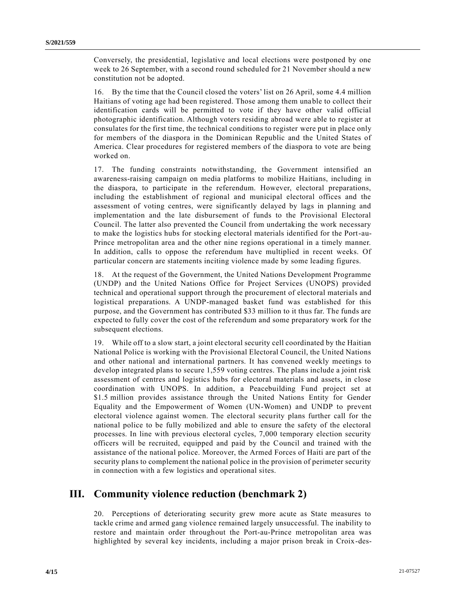Conversely, the presidential, legislative and local elections were postponed by one week to 26 September, with a second round scheduled for 21 November should a new constitution not be adopted.

16. By the time that the Council closed the voters' list on 26 April, some 4.4 million Haitians of voting age had been registered. Those among them unable to collect their identification cards will be permitted to vote if they have other valid official photographic identification. Although voters residing abroad were able to register at consulates for the first time, the technical conditions to register were put in place only for members of the diaspora in the Dominican Republic and the United States of America. Clear procedures for registered members of the diaspora to vote are being worked on.

17. The funding constraints notwithstanding, the Government intensified an awareness-raising campaign on media platforms to mobilize Haitians, including in the diaspora, to participate in the referendum. However, electoral preparations, including the establishment of regional and municipal electoral offices and the assessment of voting centres, were significantly delayed by lags in planning and implementation and the late disbursement of funds to the Provisional Electoral Council. The latter also prevented the Council from undertaking the work necessary to make the logistics hubs for stocking electoral materials identified for the Port-au-Prince metropolitan area and the other nine regions operational in a timely manner. In addition, calls to oppose the referendum have multiplied in recent weeks. Of particular concern are statements inciting violence made by some leading figures.

18. At the request of the Government, the United Nations Development Programme (UNDP) and the United Nations Office for Project Services (UNOPS) provided technical and operational support through the procurement of electoral materials and logistical preparations. A UNDP-managed basket fund was established for this purpose, and the Government has contributed \$33 million to it thus far. The funds are expected to fully cover the cost of the referendum and some preparatory work for the subsequent elections.

19. While off to a slow start, a joint electoral security cell coordinated by the Haitian National Police is working with the Provisional Electoral Council, the United Nations and other national and international partners. It has convened weekly meetings to develop integrated plans to secure 1,559 voting centres. The plans include a joint risk assessment of centres and logistics hubs for electoral materials and assets, in close coordination with UNOPS. In addition, a Peacebuilding Fund project set at \$1.5 million provides assistance through the United Nations Entity for Gender Equality and the Empowerment of Women (UN-Women) and UNDP to prevent electoral violence against women. The electoral security plans further call for the national police to be fully mobilized and able to ensure the safety of the electoral processes. In line with previous electoral cycles, 7,000 temporary election security officers will be recruited, equipped and paid by the Council and trained with the assistance of the national police. Moreover, the Armed Forces of Haiti are part of the security plans to complement the national police in the provision of perimeter security in connection with a few logistics and operational sites.

## **III. Community violence reduction (benchmark 2)**

20. Perceptions of deteriorating security grew more acute as State measures to tackle crime and armed gang violence remained largely unsuccessful. The inability to restore and maintain order throughout the Port-au-Prince metropolitan area was highlighted by several key incidents, including a major prison break in Croix-des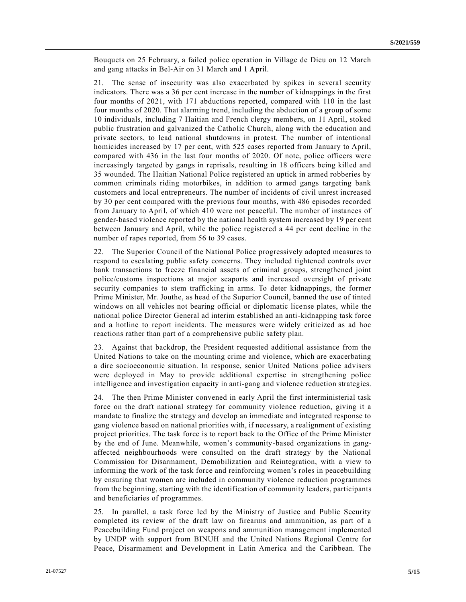Bouquets on 25 February, a failed police operation in Village de Dieu on 12 March and gang attacks in Bel-Air on 31 March and 1 April.

21. The sense of insecurity was also exacerbated by spikes in several security indicators. There was a 36 per cent increase in the number of kidnappings in the first four months of 2021, with 171 abductions reported, compared with 110 in the last four months of 2020. That alarming trend, including the abduction of a group of some 10 individuals, including 7 Haitian and French clergy members, on 11 April, stoked public frustration and galvanized the Catholic Church, along with the education and private sectors, to lead national shutdowns in protest. The number of intentional homicides increased by 17 per cent, with 525 cases reported from January to April, compared with 436 in the last four months of 2020. Of note, police officers were increasingly targeted by gangs in reprisals, resulting in 18 officers being killed and 35 wounded. The Haitian National Police registered an uptick in armed robberies by common criminals riding motorbikes, in addition to armed gangs targeting bank customers and local entrepreneurs. The number of incidents of civil unrest increased by 30 per cent compared with the previous four months, with 486 episodes recorded from January to April, of which 410 were not peaceful. The number of instances of gender-based violence reported by the national health system increased by 19 per cent between January and April, while the police registered a 44 per cent decline in the number of rapes reported, from 56 to 39 cases.

22. The Superior Council of the National Police progressively adopted measures to respond to escalating public safety concerns. They included tightened controls over bank transactions to freeze financial assets of criminal groups, strengthened joint police/customs inspections at major seaports and increased oversight of private security companies to stem trafficking in arms. To deter kidnappings, the former Prime Minister, Mr. Jouthe, as head of the Superior Council, banned the use of tinted windows on all vehicles not bearing official or diplomatic license plates, while the national police Director General ad interim established an anti-kidnapping task force and a hotline to report incidents. The measures were widely criticized as ad hoc reactions rather than part of a comprehensive public safety plan.

23. Against that backdrop, the President requested additional assistance from the United Nations to take on the mounting crime and violence, which are exacerbating a dire socioeconomic situation. In response, senior United Nations police advisers were deployed in May to provide additional expertise in strengthening police intelligence and investigation capacity in anti-gang and violence reduction strategies.

24. The then Prime Minister convened in early April the first interministerial task force on the draft national strategy for community violence reduction, giving it a mandate to finalize the strategy and develop an immediate and integrated response to gang violence based on national priorities with, if necessary, a realignment of existing project priorities. The task force is to report back to the Office of the Prime Minister by the end of June. Meanwhile, women's community-based organizations in gangaffected neighbourhoods were consulted on the draft strategy by the National Commission for Disarmament, Demobilization and Reintegration, with a view to informing the work of the task force and reinforcing women's roles in peacebuilding by ensuring that women are included in community violence reduction programmes from the beginning, starting with the identification of community leaders, participants and beneficiaries of programmes.

25. In parallel, a task force led by the Ministry of Justice and Public Security completed its review of the draft law on firearms and ammunition, as part of a Peacebuilding Fund project on weapons and ammunition management implemented by UNDP with support from BINUH and the United Nations Regional Centre for Peace, Disarmament and Development in Latin America and the Caribbean. The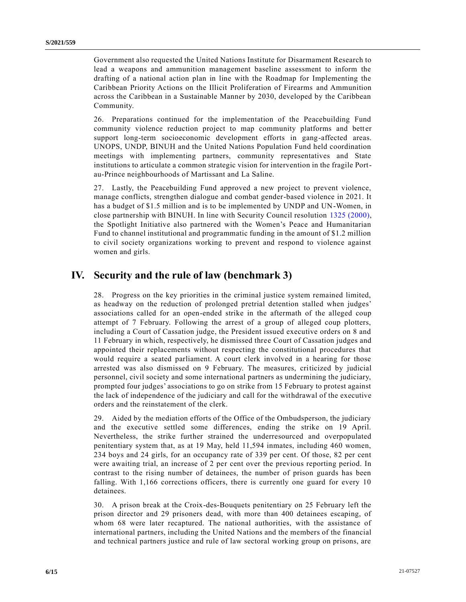Government also requested the United Nations Institute for Disarmament Research to lead a weapons and ammunition management baseline assessment to inform the drafting of a national action plan in line with the Roadmap for Implementing the Caribbean Priority Actions on the Illicit Proliferation of Firearms and Ammunition across the Caribbean in a Sustainable Manner by 2030, developed by the Caribbean Community.

26. Preparations continued for the implementation of the Peacebuilding Fund community violence reduction project to map community platforms and better support long-term socioeconomic development efforts in gang-affected areas. UNOPS, UNDP, BINUH and the United Nations Population Fund held coordination meetings with implementing partners, community representatives and State institutions to articulate a common strategic vision for intervention in the fragile Portau-Prince neighbourhoods of Martissant and La Saline.

27. Lastly, the Peacebuilding Fund approved a new project to prevent violence, manage conflicts, strengthen dialogue and combat gender-based violence in 2021. It has a budget of \$1.5 million and is to be implemented by UNDP and UN-Women, in close partnership with BINUH. In line with Security Council resolution [1325 \(2000\),](https://undocs.org/en/S/RES/1325(2000)) the Spotlight Initiative also partnered with the Women's Peace and Humanitarian Fund to channel institutional and programmatic funding in the amount of \$1.2 million to civil society organizations working to prevent and respond to violence against women and girls.

## **IV. Security and the rule of law (benchmark 3)**

28. Progress on the key priorities in the criminal justice system remained limited, as headway on the reduction of prolonged pretrial detention stalled when judges' associations called for an open-ended strike in the aftermath of the alleged coup attempt of 7 February. Following the arrest of a group of alleged coup plotters, including a Court of Cassation judge, the President issued executive orders on 8 and 11 February in which, respectively, he dismissed three Court of Cassation judges and appointed their replacements without respecting the constitutional procedures that would require a seated parliament. A court clerk involved in a hearing for those arrested was also dismissed on 9 February. The measures, criticized by judicial personnel, civil society and some international partners as undermining the judiciary, prompted four judges' associations to go on strike from 15 February to protest against the lack of independence of the judiciary and call for the withdrawal of the executive orders and the reinstatement of the clerk.

29. Aided by the mediation efforts of the Office of the Ombudsperson, the judiciary and the executive settled some differences, ending the strike on 19 April. Nevertheless, the strike further strained the underresourced and overpopulated penitentiary system that, as at 19 May, held 11,594 inmates, including 460 women, 234 boys and 24 girls, for an occupancy rate of 339 per cent. Of those, 82 per cent were awaiting trial, an increase of 2 per cent over the previous reporting period. In contrast to the rising number of detainees, the number of prison guards has been falling. With 1,166 corrections officers, there is currently one guard for every 10 detainees.

30. A prison break at the Croix-des-Bouquets penitentiary on 25 February left the prison director and 29 prisoners dead, with more than 400 detainees escaping, of whom 68 were later recaptured. The national authorities, with the assistance of international partners, including the United Nations and the members of the financial and technical partners justice and rule of law sectoral working group on prisons, are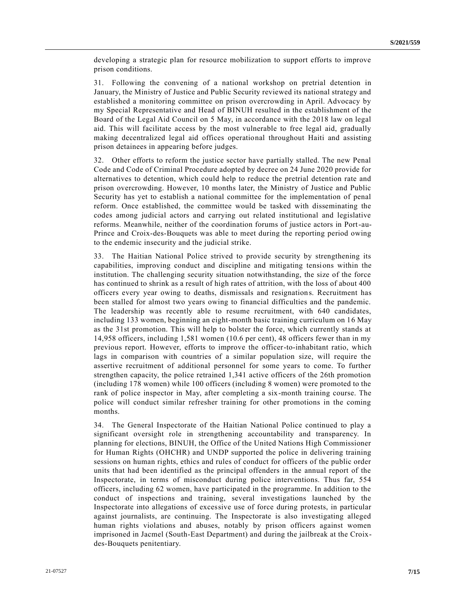developing a strategic plan for resource mobilization to support efforts to improve prison conditions.

31. Following the convening of a national workshop on pretrial detention in January, the Ministry of Justice and Public Security reviewed its national strategy and established a monitoring committee on prison overcrowding in April. Advocacy by my Special Representative and Head of BINUH resulted in the establishment of the Board of the Legal Aid Council on 5 May, in accordance with the 2018 law on legal aid. This will facilitate access by the most vulnerable to free legal aid, gradually making decentralized legal aid offices operational throughout Haiti and assisting prison detainees in appearing before judges.

32. Other efforts to reform the justice sector have partially stalled. The new Penal Code and Code of Criminal Procedure adopted by decree on 24 June 2020 provide for alternatives to detention, which could help to reduce the pretrial detention rate and prison overcrowding. However, 10 months later, the Ministry of Justice and Public Security has yet to establish a national committee for the implementation of penal reform. Once established, the committee would be tasked with disseminating the codes among judicial actors and carrying out related institutional and legislative reforms. Meanwhile, neither of the coordination forums of justice actors in Port-au-Prince and Croix-des-Bouquets was able to meet during the reporting period owing to the endemic insecurity and the judicial strike.

33. The Haitian National Police strived to provide security by strengthening its capabilities, improving conduct and discipline and mitigating tensions within the institution. The challenging security situation notwithstanding, the size of the force has continued to shrink as a result of high rates of attrition, with the loss of about 400 officers every year owing to deaths, dismissals and resignations. Recruitment has been stalled for almost two years owing to financial difficulties and the pandemic. The leadership was recently able to resume recruitment, with 640 candidates, including 133 women, beginning an eight-month basic training curriculum on 16 May as the 31st promotion. This will help to bolster the force, which currently stands at 14,958 officers, including 1,581 women (10.6 per cent), 48 officers fewer than in my previous report. However, efforts to improve the officer-to-inhabitant ratio, which lags in comparison with countries of a similar population size, will require the assertive recruitment of additional personnel for some years to come. To further strengthen capacity, the police retrained 1,341 active officers of the 26th promotion (including 178 women) while 100 officers (including 8 women) were promoted to the rank of police inspector in May, after completing a six-month training course. The police will conduct similar refresher training for other promotions in the coming months.

34. The General Inspectorate of the Haitian National Police continued to play a significant oversight role in strengthening accountability and transparency. In planning for elections, BINUH, the Office of the United Nations High Commissioner for Human Rights (OHCHR) and UNDP supported the police in delivering training sessions on human rights, ethics and rules of conduct for officers of the public order units that had been identified as the principal offenders in the annual report of the Inspectorate, in terms of misconduct during police interventions. Thus far, 554 officers, including 62 women, have participated in the programme. In addition to the conduct of inspections and training, several investigations launched by the Inspectorate into allegations of excessive use of force during protests, in particular against journalists, are continuing. The Inspectorate is also investigating alleged human rights violations and abuses, notably by prison officers against women imprisoned in Jacmel (South-East Department) and during the jailbreak at the Croixdes-Bouquets penitentiary.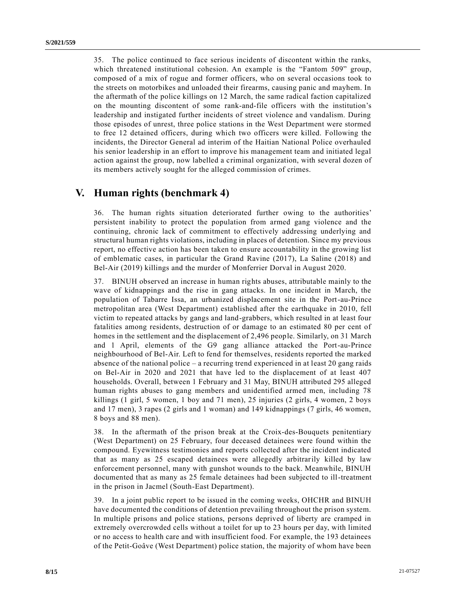35. The police continued to face serious incidents of discontent within the ranks, which threatened institutional cohesion. An example is the "Fantom 509" group, composed of a mix of rogue and former officers, who on several occasions took to the streets on motorbikes and unloaded their firearms, causing panic and mayhem. In the aftermath of the police killings on 12 March, the same radical faction capitalized on the mounting discontent of some rank-and-file officers with the institution's leadership and instigated further incidents of street violence and vandalism. During those episodes of unrest, three police stations in the West Department were stormed to free 12 detained officers, during which two officers were killed. Following the incidents, the Director General ad interim of the Haitian National Police overhauled his senior leadership in an effort to improve his management team and initiated legal action against the group, now labelled a criminal organization, with several dozen of its members actively sought for the alleged commission of crimes.

#### **V. Human rights (benchmark 4)**

36. The human rights situation deteriorated further owing to the authorities' persistent inability to protect the population from armed gang violence and the continuing, chronic lack of commitment to effectively addressing underlying and structural human rights violations, including in places of detention. Since my previous report, no effective action has been taken to ensure accountability in the growing list of emblematic cases, in particular the Grand Ravine (2017), La Saline (2018) and Bel-Air (2019) killings and the murder of Monferrier Dorval in August 2020.

37. BINUH observed an increase in human rights abuses, attributable mainly to the wave of kidnappings and the rise in gang attacks. In one incident in March, the population of Tabarre Issa, an urbanized displacement site in the Port-au-Prince metropolitan area (West Department) established after the earthquake in 2010, fell victim to repeated attacks by gangs and land-grabbers, which resulted in at least four fatalities among residents, destruction of or damage to an estimated 80 per cent of homes in the settlement and the displacement of 2,496 people. Similarly, on 31 March and 1 April, elements of the G9 gang alliance attacked the Port-au-Prince neighbourhood of Bel-Air. Left to fend for themselves, residents reported the marked absence of the national police – a recurring trend experienced in at least 20 gang raids on Bel-Air in 2020 and 2021 that have led to the displacement of at least 407 households. Overall, between 1 February and 31 May, BINUH attributed 295 alleged human rights abuses to gang members and unidentified armed men, including 78 killings (1 girl, 5 women, 1 boy and 71 men), 25 injuries (2 girls, 4 women, 2 boys and 17 men), 3 rapes (2 girls and 1 woman) and 149 kidnappings (7 girls, 46 women, 8 boys and 88 men).

38. In the aftermath of the prison break at the Croix-des-Bouquets penitentiary (West Department) on 25 February, four deceased detainees were found within the compound. Eyewitness testimonies and reports collected after the incident indicated that as many as 25 escaped detainees were allegedly arbitrarily killed by law enforcement personnel, many with gunshot wounds to the back. Meanwhile, BINUH documented that as many as 25 female detainees had been subjected to ill-treatment in the prison in Jacmel (South-East Department).

39. In a joint public report to be issued in the coming weeks, OHCHR and BINUH have documented the conditions of detention prevailing throughout the prison system. In multiple prisons and police stations, persons deprived of liberty are cramped in extremely overcrowded cells without a toilet for up to 23 hours per day, with limited or no access to health care and with insufficient food. For example, the 193 detainees of the Petit-Goâve (West Department) police station, the majority of whom have been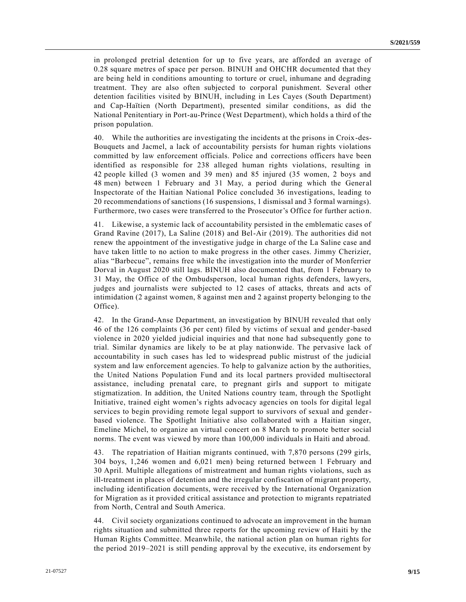in prolonged pretrial detention for up to five years, are afforded an average of 0.28 square metres of space per person. BINUH and OHCHR documented that they are being held in conditions amounting to torture or cruel, inhumane and degrading treatment. They are also often subjected to corporal punishment. Several other detention facilities visited by BINUH, including in Les Cayes (South Department) and Cap-Haïtien (North Department), presented similar conditions, as did the National Penitentiary in Port-au-Prince (West Department), which holds a third of the prison population.

40. While the authorities are investigating the incidents at the prisons in Croix-des-Bouquets and Jacmel, a lack of accountability persists for human rights violations committed by law enforcement officials. Police and corrections officers have been identified as responsible for 238 alleged human rights violations, resulting in 42 people killed (3 women and 39 men) and 85 injured (35 women, 2 boys and 48 men) between 1 February and 31 May, a period during which the General Inspectorate of the Haitian National Police concluded 36 investigations, leading to 20 recommendations of sanctions (16 suspensions, 1 dismissal and 3 formal warnings). Furthermore, two cases were transferred to the Prosecutor's Office for further actio n.

41. Likewise, a systemic lack of accountability persisted in the emblematic cases of Grand Ravine (2017), La Saline (2018) and Bel-Air (2019). The authorities did not renew the appointment of the investigative judge in charge of the La Saline case and have taken little to no action to make progress in the other cases. Jimmy Cherizier, alias "Barbecue", remains free while the investigation into the murder of Monferrier Dorval in August 2020 still lags. BINUH also documented that, from 1 February to 31 May, the Office of the Ombudsperson, local human rights defenders, lawyers, judges and journalists were subjected to 12 cases of attacks, threats and acts of intimidation (2 against women, 8 against men and 2 against property belonging to the Office).

42. In the Grand-Anse Department, an investigation by BINUH revealed that only 46 of the 126 complaints (36 per cent) filed by victims of sexual and gender-based violence in 2020 yielded judicial inquiries and that none had subsequently gone to trial. Similar dynamics are likely to be at play nationwide. The pervasive lack of accountability in such cases has led to widespread public mistrust of the judicial system and law enforcement agencies. To help to galvanize action by the authorities, the United Nations Population Fund and its local partners provided multisectoral assistance, including prenatal care, to pregnant girls and support to mitigate stigmatization. In addition, the United Nations country team, through the Spotlight Initiative, trained eight women's rights advocacy agencies on tools for digital legal services to begin providing remote legal support to survivors of sexual and genderbased violence. The Spotlight Initiative also collaborated with a Haitian singer, Emeline Michel, to organize an virtual concert on 8 March to promote better social norms. The event was viewed by more than 100,000 individuals in Haiti and abroad.

43. The repatriation of Haitian migrants continued, with 7,870 persons (299 girls, 304 boys, 1,246 women and 6,021 men) being returned between 1 February and 30 April. Multiple allegations of mistreatment and human rights violations, such as ill-treatment in places of detention and the irregular confiscation of migrant property, including identification documents, were received by the International Organization for Migration as it provided critical assistance and protection to migrants repatriated from North, Central and South America.

44. Civil society organizations continued to advocate an improvement in the human rights situation and submitted three reports for the upcoming review of Haiti by the Human Rights Committee. Meanwhile, the national action plan on human rights for the period 2019–2021 is still pending approval by the executive, its endorsement by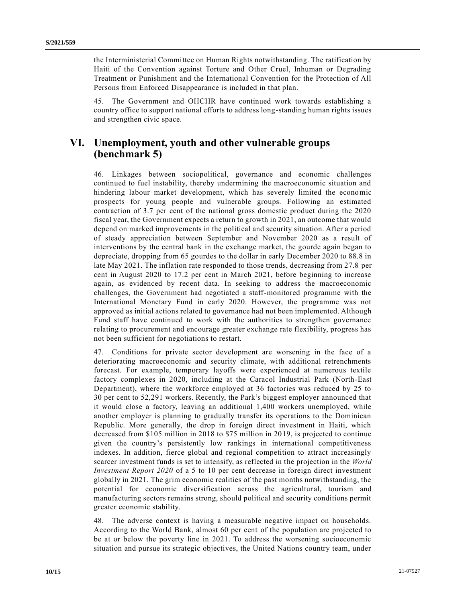the Interministerial Committee on Human Rights notwithstanding. The ratification by Haiti of the Convention against Torture and Other Cruel, Inhuman or Degrading Treatment or Punishment and the International Convention for the Protection of All Persons from Enforced Disappearance is included in that plan.

45. The Government and OHCHR have continued work towards establishing a country office to support national efforts to address long-standing human rights issues and strengthen civic space.

## **VI. Unemployment, youth and other vulnerable groups (benchmark 5)**

46. Linkages between sociopolitical, governance and economic challenges continued to fuel instability, thereby undermining the macroeconomic situation and hindering labour market development, which has severely limited the economic prospects for young people and vulnerable groups. Following an estimated contraction of 3.7 per cent of the national gross domestic product during the 2020 fiscal year, the Government expects a return to growth in 2021, an outcome that would depend on marked improvements in the political and security situation. After a period of steady appreciation between September and November 2020 as a result of interventions by the central bank in the exchange market, the gourde again began to depreciate, dropping from 65 gourdes to the dollar in early December 2020 to 88.8 in late May 2021. The inflation rate responded to those trends, decreasing from 27.8 per cent in August 2020 to 17.2 per cent in March 2021, before beginning to increase again, as evidenced by recent data. In seeking to address the macroeconomic challenges, the Government had negotiated a staff-monitored programme with the International Monetary Fund in early 2020. However, the programme was not approved as initial actions related to governance had not been implemented. Although Fund staff have continued to work with the authorities to strengthen governance relating to procurement and encourage greater exchange rate flexibility, progress has not been sufficient for negotiations to restart.

47. Conditions for private sector development are worsening in the face of a deteriorating macroeconomic and security climate, with additional retrenchments forecast. For example, temporary layoffs were experienced at numerous textile factory complexes in 2020, including at the Caracol Industrial Park (North-East Department), where the workforce employed at 36 factories was reduced by 25 to 30 per cent to 52,291 workers. Recently, the Park's biggest employer announced that it would close a factory, leaving an additional 1,400 workers unemployed, while another employer is planning to gradually transfer its operations to the Dominican Republic. More generally, the drop in foreign direct investment in Haiti, which decreased from \$105 million in 2018 to \$75 million in 2019, is projected to continue given the country's persistently low rankings in international competitiveness indexes. In addition, fierce global and regional competition to attract increasingly scarcer investment funds is set to intensify, as reflected in the projection in the *World Investment Report 2020* of a 5 to 10 per cent decrease in foreign direct investment globally in 2021. The grim economic realities of the past months notwithstanding, the potential for economic diversification across the agricultural, tourism and manufacturing sectors remains strong, should political and security conditions permit greater economic stability.

48. The adverse context is having a measurable negative impact on households. According to the World Bank, almost 60 per cent of the population are projected to be at or below the poverty line in 2021. To address the worsening socioeconomic situation and pursue its strategic objectives, the United Nations country team, under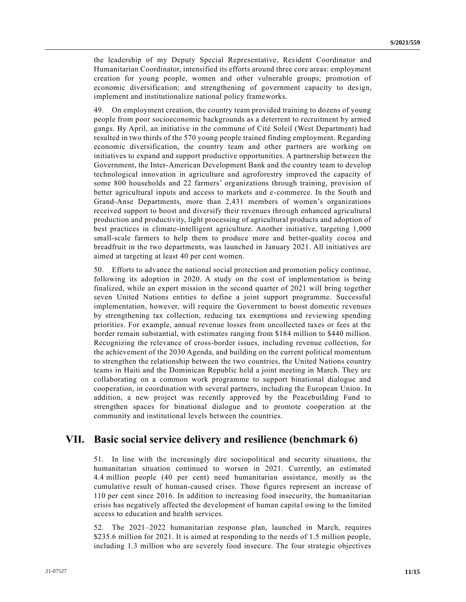the leadership of my Deputy Special Representative, Resident Coordinator and Humanitarian Coordinator, intensified its efforts around three core areas: employment creation for young people, women and other vulnerable groups; promotion of economic diversification; and strengthening of government capacity to design, implement and institutionalize national policy frameworks.

49. On employment creation, the country team provided training to dozens of young people from poor socioeconomic backgrounds as a deterrent to recruitment by armed gangs. By April, an initiative in the commune of Cité Soleil (West Department) had resulted in two thirds of the 570 young people trained finding employment. Regarding economic diversification, the country team and other partners are working on initiatives to expand and support productive opportunities. A partnership between the Government, the Inter-American Development Bank and the country team to develop technological innovation in agriculture and agroforestry improved the capacity of some 800 households and 22 farmers' organizations through training, provision of better agricultural inputs and access to markets and e-commerce. In the South and Grand-Anse Departments, more than 2,431 members of women's organizations received support to boost and diversify their revenues through enhanced agricultural production and productivity, light processing of agricultural products and adoption of best practices in climate-intelligent agriculture. Another initiative, targeting 1,000 small-scale farmers to help them to produce more and better-quality cocoa and breadfruit in the two departments, was launched in January 2021. All initiatives are aimed at targeting at least 40 per cent women.

50. Efforts to advance the national social protection and promotion policy continue, following its adoption in 2020. A study on the cost of implementation is being finalized, while an expert mission in the second quarter of 2021 will bring together seven United Nations entities to define a joint support programme. Successful implementation, however, will require the Government to boost domestic revenues by strengthening tax collection, reducing tax exemptions and reviewing spending priorities. For example, annual revenue losses from uncollected taxes or fees at the border remain substantial, with estimates ranging from \$184 million to \$440 million. Recognizing the relevance of cross-border issues, including revenue collection, for the achievement of the 2030 Agenda, and building on the current political momentum to strengthen the relationship between the two countries, the United Nations country teams in Haiti and the Dominican Republic held a joint meeting in March. They are collaborating on a common work programme to support binational dialogue and cooperation, in coordination with several partners, including the European Union. In addition, a new project was recently approved by the Peacebuilding Fund to strengthen spaces for binational dialogue and to promote cooperation at the community and institutional levels between the countries.

## **VII. Basic social service delivery and resilience (benchmark 6)**

51. In line with the increasingly dire sociopolitical and security situations, the humanitarian situation continued to worsen in 2021. Currently, an estimated 4.4 million people (40 per cent) need humanitarian assistance, mostly as the cumulative result of human-caused crises. Those figures represent an increase of 110 per cent since 2016. In addition to increasing food insecurity, the humanitarian crisis has negatively affected the development of human capital owing to the limited access to education and health services.

52. The 2021–2022 humanitarian response plan, launched in March, requires \$235.6 million for 2021. It is aimed at responding to the needs of 1.5 million people, including 1.3 million who are severely food insecure. The four strategic objectives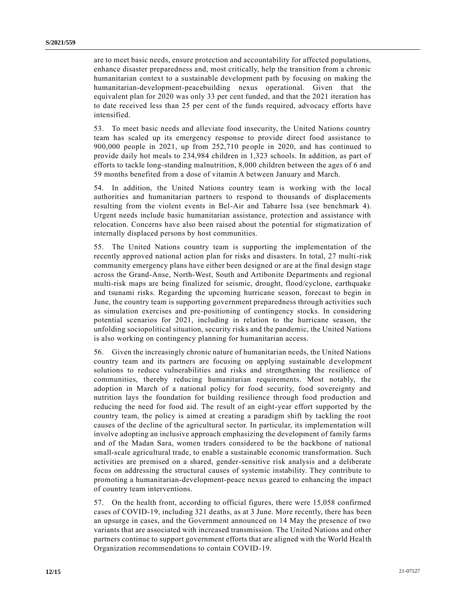are to meet basic needs, ensure protection and accountability for affected populations, enhance disaster preparedness and, most critically, help the transition from a chronic humanitarian context to a sustainable development path by focusing on making the humanitarian-development-peacebuilding nexus operational. Given that the equivalent plan for 2020 was only 33 per cent funded, and that the 2021 iteration has to date received less than 25 per cent of the funds required, advocacy efforts have intensified.

53. To meet basic needs and alleviate food insecurity, the United Nations country team has scaled up its emergency response to provide direct food assistance to 900,000 people in 2021, up from 252,710 people in 2020, and has continued to provide daily hot meals to 234,984 children in 1,323 schools. In addition, as part of efforts to tackle long-standing malnutrition, 8,000 children between the ages of 6 and 59 months benefited from a dose of vitamin A between January and March.

54. In addition, the United Nations country team is working with the local authorities and humanitarian partners to respond to thousands of displacements resulting from the violent events in Bel-Air and Tabarre Issa (see benchmark 4). Urgent needs include basic humanitarian assistance, protection and assistance with relocation. Concerns have also been raised about the potential for stigmatization of internally displaced persons by host communities.

55. The United Nations country team is supporting the implementation of the recently approved national action plan for risks and disasters. In total, 27 multi-risk community emergency plans have either been designed or are at the final design stage across the Grand-Anse, North-West, South and Artibonite Departments and regional multi-risk maps are being finalized for seismic, drought, flood/cyclone, earthquake and tsunami risks. Regarding the upcoming hurricane season, forecast to begin in June, the country team is supporting government preparedness through activities such as simulation exercises and pre-positioning of contingency stocks. In considering potential scenarios for 2021, including in relation to the hurricane season, the unfolding sociopolitical situation, security risks and the pandemic, the United Nations is also working on contingency planning for humanitarian access.

56. Given the increasingly chronic nature of humanitarian needs, the United Nations country team and its partners are focusing on applying sustainable development solutions to reduce vulnerabilities and risks and strengthening the resilience of communities, thereby reducing humanitarian requirements. Most notably, the adoption in March of a national policy for food security, food sovereignty and nutrition lays the foundation for building resilience through food production and reducing the need for food aid. The result of an eight-year effort supported by the country team, the policy is aimed at creating a paradigm shift by tackling the root causes of the decline of the agricultural sector. In particular, its implementation will involve adopting an inclusive approach emphasizing the development of family farms and of the Madan Sara, women traders considered to be the backbone of national small-scale agricultural trade, to enable a sustainable economic transformation. Such activities are premised on a shared, gender-sensitive risk analysis and a deliberate focus on addressing the structural causes of systemic instability. They contribute to promoting a humanitarian-development-peace nexus geared to enhancing the impact of country team interventions.

57. On the health front, according to official figures, there were 15,058 confirmed cases of COVID-19, including 321 deaths, as at 3 June. More recently, there has been an upsurge in cases, and the Government announced on 14 May the presence of two variants that are associated with increased transmission. The United Nations and other partners continue to support government efforts that are aligned with the World Health Organization recommendations to contain COVID-19.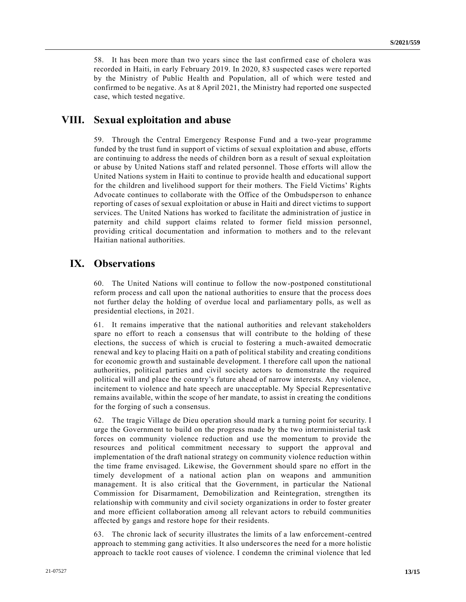58. It has been more than two years since the last confirmed case of cholera was recorded in Haiti, in early February 2019. In 2020, 83 suspected cases were reported by the Ministry of Public Health and Population, all of which were tested and confirmed to be negative. As at 8 April 2021, the Ministry had reported one suspected case, which tested negative.

## **VIII. Sexual exploitation and abuse**

59. Through the Central Emergency Response Fund and a two-year programme funded by the trust fund in support of victims of sexual exploitation and abuse, efforts are continuing to address the needs of children born as a result of sexual exploitation or abuse by United Nations staff and related personnel. Those efforts will allow the United Nations system in Haiti to continue to provide health and educational support for the children and livelihood support for their mothers. The Field Victims' Rights Advocate continues to collaborate with the Office of the Ombudsperson to enhance reporting of cases of sexual exploitation or abuse in Haiti and direct victims to support services. The United Nations has worked to facilitate the administration of justice in paternity and child support claims related to former field mission personnel, providing critical documentation and information to mothers and to the relevant Haitian national authorities.

## **IX. Observations**

60. The United Nations will continue to follow the now-postponed constitutional reform process and call upon the national authorities to ensure that the process does not further delay the holding of overdue local and parliamentary polls, as well as presidential elections, in 2021.

61. It remains imperative that the national authorities and relevant stakeholders spare no effort to reach a consensus that will contribute to the holding of these elections, the success of which is crucial to fostering a much-awaited democratic renewal and key to placing Haiti on a path of political stability and creating conditions for economic growth and sustainable development. I therefore call upon the national authorities, political parties and civil society actors to demonstrate the required political will and place the country's future ahead of narrow interests. Any violence, incitement to violence and hate speech are unacceptable. My Special Representative remains available, within the scope of her mandate, to assist in creating the conditions for the forging of such a consensus.

62. The tragic Village de Dieu operation should mark a turning point for security. I urge the Government to build on the progress made by the two interministerial task forces on community violence reduction and use the momentum to provide the resources and political commitment necessary to support the approval and implementation of the draft national strategy on community violence reduction within the time frame envisaged. Likewise, the Government should spare no effort in the timely development of a national action plan on weapons and ammunition management. It is also critical that the Government, in particular the National Commission for Disarmament, Demobilization and Reintegration, strengthen its relationship with community and civil society organizations in order to foster greater and more efficient collaboration among all relevant actors to rebuild communities affected by gangs and restore hope for their residents.

63. The chronic lack of security illustrates the limits of a law enforcement-centred approach to stemming gang activities. It also underscores the need for a more holistic approach to tackle root causes of violence. I condemn the criminal violence that led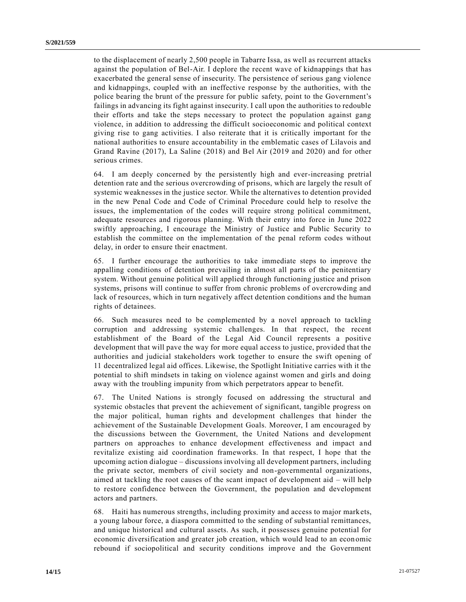to the displacement of nearly 2,500 people in Tabarre Issa, as well as recurrent attacks against the population of Bel-Air. I deplore the recent wave of kidnappings that has exacerbated the general sense of insecurity. The persistence of serious gang violence and kidnappings, coupled with an ineffective response by the authorities, with the police bearing the brunt of the pressure for public safety, point to the Government's failings in advancing its fight against insecurity. I call upon the authorities to redouble their efforts and take the steps necessary to protect the population against gang violence, in addition to addressing the difficult socioeconomic and political context giving rise to gang activities. I also reiterate that it is critically important for the national authorities to ensure accountability in the emblematic cases of Lilavois and Grand Ravine (2017), La Saline (2018) and Bel Air (2019 and 2020) and for other serious crimes.

64. I am deeply concerned by the persistently high and ever-increasing pretrial detention rate and the serious overcrowding of prisons, which are largely the result of systemic weaknesses in the justice sector. While the alternatives to detention provided in the new Penal Code and Code of Criminal Procedure could help to resolve the issues, the implementation of the codes will require strong political commitment, adequate resources and rigorous planning. With their entry into force in June 2022 swiftly approaching, I encourage the Ministry of Justice and Public Security to establish the committee on the implementation of the penal reform codes without delay, in order to ensure their enactment.

65. I further encourage the authorities to take immediate steps to improve the appalling conditions of detention prevailing in almost all parts of the penitentiary system. Without genuine political will applied through functioning justice and prison systems, prisons will continue to suffer from chronic problems of overcrowding and lack of resources, which in turn negatively affect detention conditions and the human rights of detainees.

66. Such measures need to be complemented by a novel approach to tackling corruption and addressing systemic challenges. In that respect, the recent establishment of the Board of the Legal Aid Council represents a positive development that will pave the way for more equal access to justice, provided that the authorities and judicial stakeholders work together to ensure the swift opening of 11 decentralized legal aid offices. Likewise, the Spotlight Initiative carries with it the potential to shift mindsets in taking on violence against women and girls and doing away with the troubling impunity from which perpetrators appear to benefit.

67. The United Nations is strongly focused on addressing the structural and systemic obstacles that prevent the achievement of significant, tangible progress on the major political, human rights and development challenges that hinder the achievement of the Sustainable Development Goals. Moreover, I am encouraged by the discussions between the Government, the United Nations and development partners on approaches to enhance development effectiveness and impact and revitalize existing aid coordination frameworks. In that respect, I hope that the upcoming action dialogue – discussions involving all development partners, including the private sector, members of civil society and non-governmental organizations, aimed at tackling the root causes of the scant impact of development aid – will help to restore confidence between the Government, the population and development actors and partners.

68. Haiti has numerous strengths, including proximity and access to major markets, a young labour force, a diaspora committed to the sending of substantial remittances, and unique historical and cultural assets. As such, it possesses genuine potential for economic diversification and greater job creation, which would lead to an econ omic rebound if sociopolitical and security conditions improve and the Government